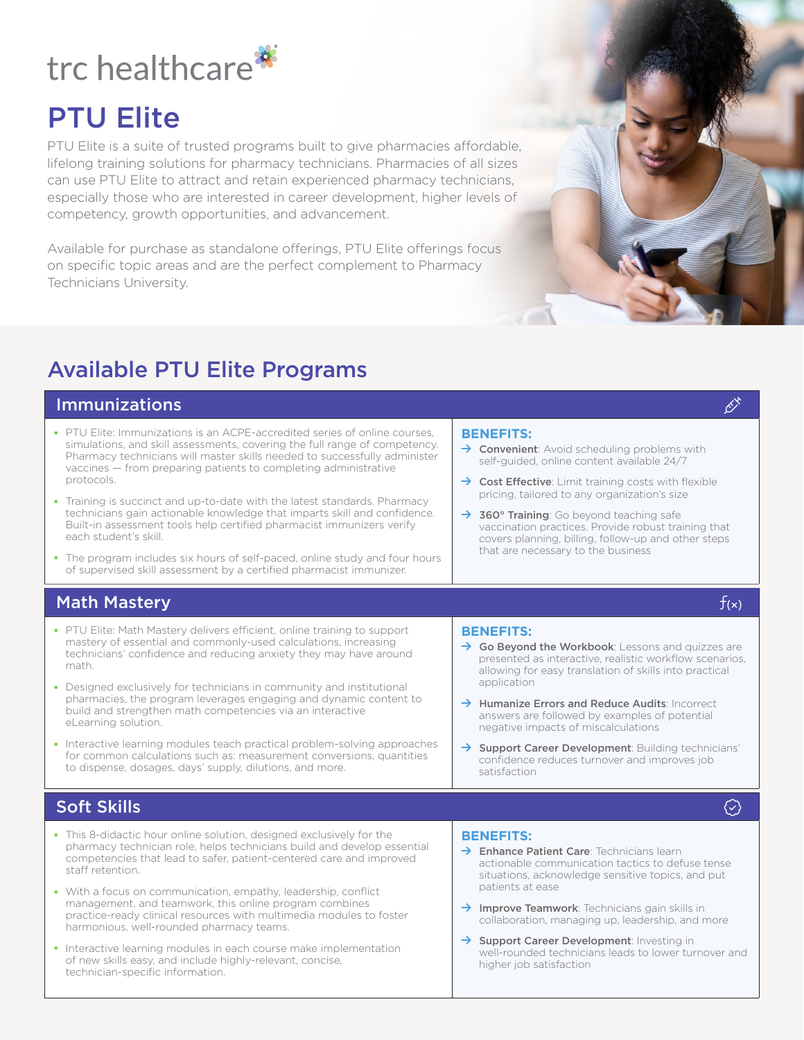# trc healthcare<sup>\*</sup>

## PTU Elite

PTU Elite is a suite of trusted programs built to give pharmacies affordable, lifelong training solutions for pharmacy technicians. Pharmacies of all sizes can use PTU Elite to attract and retain experienced pharmacy technicians, especially those who are interested in career development, higher levels of competency, growth opportunities, and advancement.

Available for purchase as standalone offerings, PTU Elite offerings focus on specific topic areas and are the perfect complement to Pharmacy Technicians University.

### Available PTU Elite Programs

#### $\blacksquare$ Immunizations symmetric syringer  $\beta$ **\*** PTU Elite: Immunizations is an ACPE-accredited series of online courses, simulations, and skill assessments, covering the full range of competency. Pharmacy technicians will master skills needed to successfully administer vaccines — from preparing patients to completing administrative protocols. **\*** Training is succinct and up-to-date with the latest standards. Pharmacy technicians gain actionable knowledge that imparts skill and confidence. Built-in assessment tools help certified pharmacist immunizers verify each student's skill. **\*** The program includes six hours of self-paced, online study and four hours of supervised skill assessment by a certified pharmacist immunizer. **BENEFITS:**  $\rightarrow$  Convenient: Avoid scheduling problems with self-guided, online content available 24/7  $\rightarrow$  Cost Effective: Limit training costs with flexible pricing, tailored to any organization's size  $\rightarrow$  360° Training: Go beyond teaching safe vaccination practices. Provide robust training that covers planning, billing, follow-up and other steps that are necessary to the business Math Mastery  $f(x)$ **\*** PTU Elite: Math Mastery delivers efficient, online training to support mastery of essential and commonly-used calculations, increasing technicians' confidence and reducing anxiety they may have around math. **\*** Designed exclusively for technicians in community and institutional pharmacies, the program leverages engaging and dynamic content to build and strengthen math competencies via an interactive eLearning solution. **\*** Interactive learning modules teach practical problem-solving approaches for common calculations such as: measurement conversions, quantities to dispense, dosages, days' supply, dilutions, and more. **BENEFITS:**  $\rightarrow$  Go Beyond the Workbook: Lessons and quizzes are presented as interactive, realistic workflow scenarios, allowing for easy translation of skills into practical application  $\rightarrow$  Humanize Errors and Reduce Audits: Incorrect answers are followed by examples of potential negative impacts of miscalculations  $\rightarrow$  Support Career Development: Building technicians' confidence reduces turnover and improves job satisfaction Soft Skills badge-check  $\odot$ **\*** This 8-didactic hour online solution, designed exclusively for the pharmacy technician role, helps technicians build and develop essential competencies that lead to safer, patient-centered care and improved staff retention. **\*** With a focus on communication, empathy, leadership, conflict management, and teamwork, this online program combines practice-ready clinical resources with multimedia modules to foster harmonious, well-rounded pharmacy teams. **\*** Interactive learning modules in each course make implementation of new skills easy, and include highly-relevant, concise, technician-specific information. **BENEFITS:**  $\rightarrow$  Enhance Patient Care: Technicians learn actionable communication tactics to defuse tense situations, acknowledge sensitive topics, and put patients at ease  $\rightarrow$  Improve Teamwork: Technicians gain skills in collaboration, managing up, leadership, and more  $\rightarrow$  Support Career Development: Investing in well-rounded technicians leads to lower turnover and higher job satisfaction